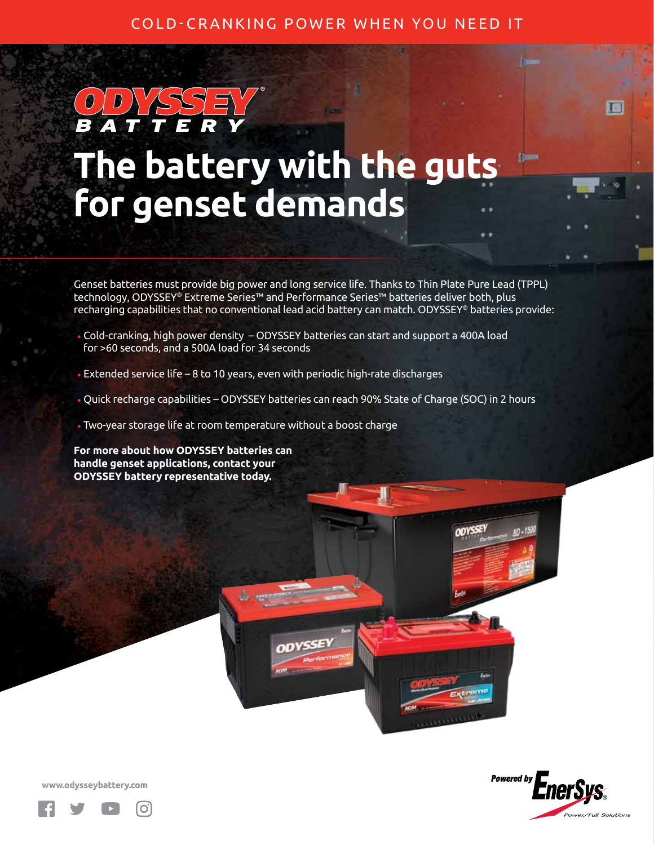## COLD-CRANKING POWER WHEN YOU NEED IT

## **The battery with the guts for genset demands**

**®**

Genset batteries must provide big power and long service life. Thanks to Thin Plate Pure Lead (TPPL) technology, ODYSSEY® Extreme Series™ and Performance Series™ batteries deliver both, plus recharging capabilities that no conventional lead acid battery can match. ODYSSEY® batteries provide:

- Cold-cranking, high power density ODYSSEY batteries can start and support a 400A load for >60 seconds, and a 500A load for 34 seconds
- Extended service life 8 to 10 years, even with periodic high-rate discharges
- Quick recharge capabilities ODYSSEY batteries can reach 90% State of Charge (SOC) in 2 hours
- Two-year storage life at room temperature without a boost charge

**For more about how ODYSSEY batteries can handle genset applications, contact your ODYSSEY battery representative today.** 



圈